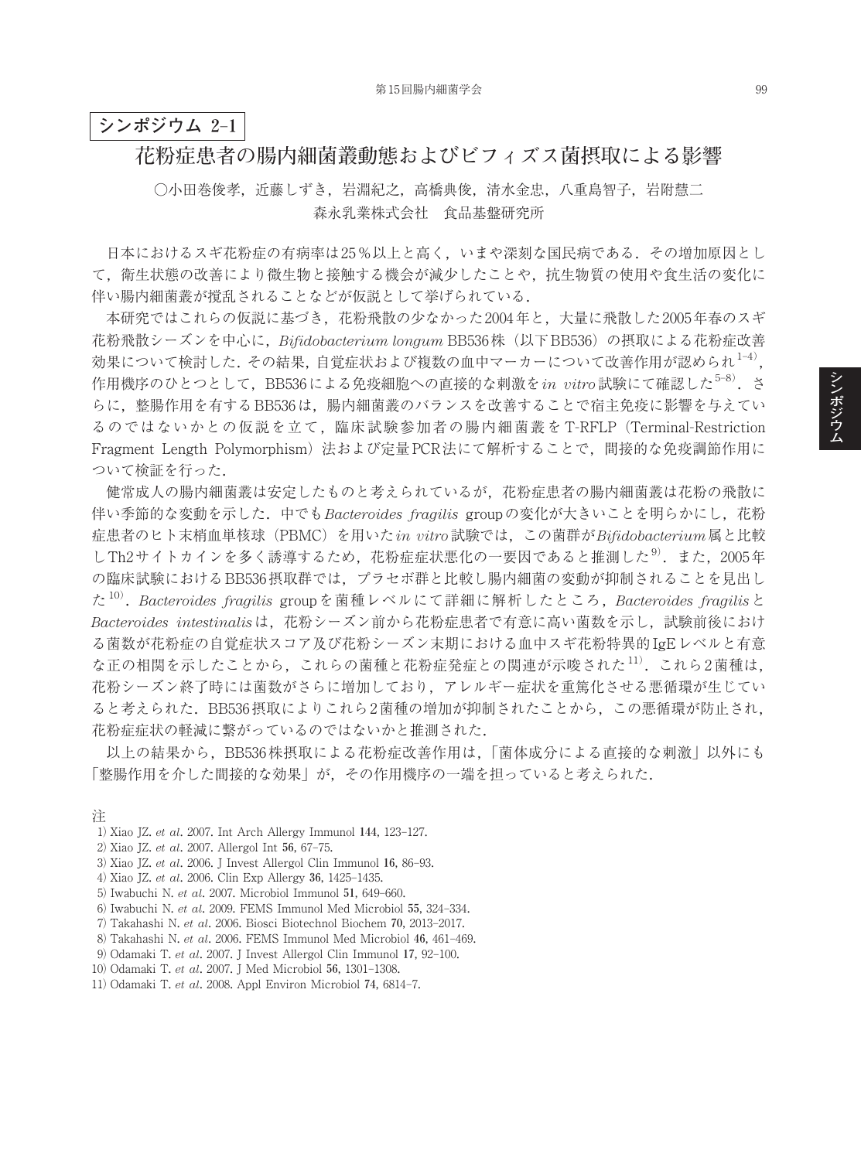## **シンポジウム 2**–**1**

## **花粉症患者の腸内細菌叢動態およびビフィズス菌摂取による影響**

○小田巻俊孝, 近藤しずき, 岩淵紀之, 高橋典俊, 清水金忠, 八重島智子, 岩附慧二 森永乳業株式会社 食品基盤研究所

日本におけるスギ花粉症の有病率は25%以上と高く、いまや深刻な国民病である. その増加原因とし て,衛生状態の改善により微生物と接触する機会が減少したことや,抗生物質の使用や食生活の変化に 伴い腸内細菌叢が撹乱されることなどが仮説として挙げられている.

本研究ではこれらの仮説に基づき,花粉飛散の少なかった2004年と,大量に飛散した2005年春のスギ 花粉飛散シーズンを中心に,*Bifidobacterium longum* BB536株(以下BB536)の摂取による花粉症改善 効果について検討した. その結果, 自覚症状および複数の血中マーカーについて改善作用が認められ $^{1-4)}$ , 作用機序のひとつとして,BB536による免疫細胞への直接的な刺激を*in vitro*試験にて確認した<sup>5-8)</sup>.さ らに,整腸作用を有するBB536は,腸内細菌叢のバランスを改善することで宿主免疫に影響を与えてい るのではないかとの仮説を立て,臨床試験参加者の腸内細菌叢をT-RFLP (Terminal-Restriction Fragment Length Polymorphism)法および定量PCR法にて解析することで、間接的な免疫調節作用に ついて検証を行った.

健常成人の腸内細菌叢は安定したものと考えられているが,花粉症患者の腸内細菌叢は花粉の飛散に 伴い季節的な変動を示した.中でも*Bacteroides fragilis* groupの変化が大きいことを明らかにし,花粉 症患者のヒト末梢血単核球(PBMC)を用いた*in vitro*試験では,この菌群が*Bifidobacterium*属と比較 しTh2サイトカインを多く誘導するため、花粉症症状悪化の一要因であると推測した<sup>9)</sup>. また, 2005年 の臨床試験におけるBB536摂取群では,プラセボ群と比較し腸内細菌の変動が抑制されることを見出し た <sup>10</sup>) .*Bacteroides fragilis* groupを菌種レベルにて詳細に解析したところ,*Bacteroides fragilis*と *Bacteroides intestinalis*は,花粉シーズン前から花粉症患者で有意に高い菌数を示し,試験前後におけ る菌数が花粉症の自覚症状スコア及び花粉シーズン末期における血中スギ花粉特異的IgEレベルと有意 な正の相関を示したことから、これらの菌種と花粉症発症との関連が示唆された<sup>11)</sup>. これら2菌種は, 花粉シーズン終了時には菌数がさらに増加しており,アレルギー症状を重篤化させる悪循環が生じてい ると考えられた.BB536摂取によりこれら2菌種の増加が抑制されたことから,この悪循環が防止され, 花粉症症状の軽減に繋がっているのではないかと推測された.

以上の結果から、BB536株摂取による花粉症改善作用は、「菌体成分による直接的な刺激」以外にも 「整腸作用を介した間接的な効果」が,その作用機序の一端を担っていると考えられた.

- 1) Xiao JZ. *et al*. 2007. Int Arch Allergy Immunol **144**, 123–127.
- 2) Xiao JZ. *et al*. 2007. Allergol Int **56**, 67–75.
- 3) Xiao JZ. *et al*. 2006. J Invest Allergol Clin Immunol **16**, 86–93.
- 4) Xiao JZ. *et al*. 2006. Clin Exp Allergy **36**, 1425–1435.
- 5) Iwabuchi N. *et al*. 2007. Microbiol Immunol **51**, 649–660.
- 6) Iwabuchi N. *et al*. 2009. FEMS Immunol Med Microbiol **55**, 324–334.
- 7) Takahashi N. *et al*. 2006. Biosci Biotechnol Biochem **70**, 2013–2017.
- 8) Takahashi N. *et al*. 2006. FEMS Immunol Med Microbiol **46**, 461–469.
- 9) Odamaki T. *et al*. 2007. J Invest Allergol Clin Immunol **17**, 92–100.
- 10) Odamaki T. *et al*. 2007. J Med Microbiol **56**, 1301–1308.
- 11) Odamaki T. *et al*. 2008. Appl Environ Microbiol **74**, 6814–7.

**シ ン ポ ジ ウ ム**

注